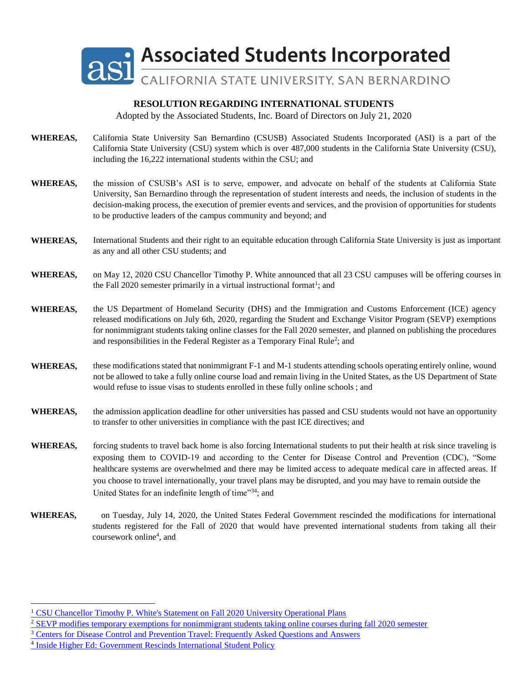

Adopted by the Associated Students, Inc. Board of Directors on July 21, 2020

- **WHEREAS,** California State University San Bernardino (CSUSB) Associated Students Incorporated (ASI) is a part of the California State University (CSU) system which is over 487,000 students in the California State University (CSU), including the 16,222 international students within the CSU; and
- **WHEREAS,** the mission of CSUSB's ASI is to serve, empower, and advocate on behalf of the students at California State University, San Bernardino through the representation of student interests and needs, the inclusion of students in the decision-making process, the execution of premier events and services, and the provision of opportunities for students to be productive leaders of the campus community and beyond; and
- **WHEREAS,** International Students and their right to an equitable education through California State University is just as important as any and all other CSU students; and
- WHEREAS, on May 12, 2020 CSU Chancellor Timothy P. White announced that all 23 CSU campuses will be offering courses in the Fall 2020 semester primarily in a virtual instructional format<sup>1</sup>; and
- **WHEREAS,** the US Department of Homeland Security (DHS) and the Immigration and Customs Enforcement (ICE) agency released modifications on July 6th, 2020, regarding the Student and Exchange Visitor Program (SEVP) exemptions for nonimmigrant students taking online classes for the Fall 2020 semester, and planned on publishing the procedures and responsibilities in the Federal Register as a Temporary Final Rule<sup>2</sup>; and
- **WHEREAS,** these modifications stated that nonimmigrant F-1 and M-1 students attending schools operating entirely online, wound not be allowed to take a fully online course load and remain living in the United States, as the US Department of State would refuse to issue visas to students enrolled in these fully online schools ; and
- **WHEREAS,** the admission application deadline for other universities has passed and CSU students would not have an opportunity to transfer to other universities in compliance with the past ICE directives; and
- **WHEREAS,** forcing students to travel back home is also forcing International students to put their health at risk since traveling is exposing them to COVID-19 and according to the Center for Disease Control and Prevention (CDC), "Some healthcare systems are overwhelmed and there may be limited access to adequate medical care in affected areas. If you choose to travel internationally, your travel plans may be disrupted, and you may have to remain outside the United States for an indefinite length of time"<sup>34</sup>; and
- **WHEREAS,** on Tuesday, July 14, 2020, the United States Federal Government rescinded the modifications for international students registered for the Fall of 2020 that would have prevented international students from taking all their coursework online<sup>4</sup>, and

 $\overline{a}$ 

<sup>1</sup> CSU Chancellor Timothy P. White's Statement on Fall 2020 University Operational Plans

<sup>&</sup>lt;sup>2</sup> SEVP modifies temporary exemptions for nonimmigrant students taking online courses during fall 2020 semester

<sup>&</sup>lt;sup>3</sup> Centers for Disease Control and Prevention Travel: Frequently Asked Questions and Answers

<sup>&</sup>lt;sup>4</sup> Inside Higher Ed: Government Rescinds International Student Policy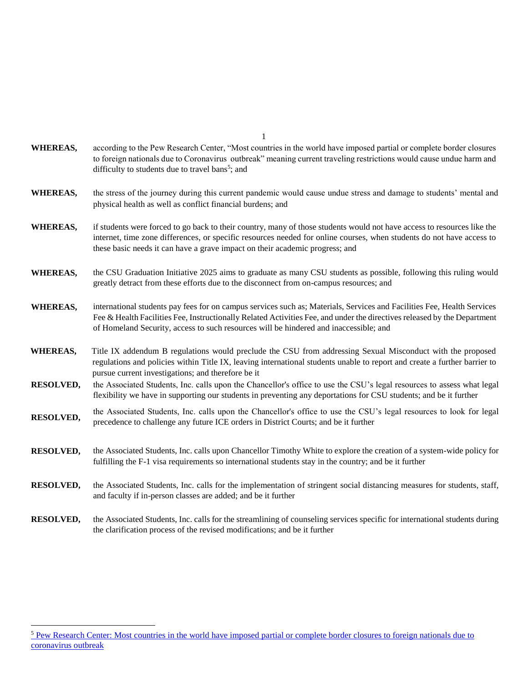| <b>WHEREAS,</b>  | according to the Pew Research Center, "Most countries in the world have imposed partial or complete border closures<br>to foreign nationals due to Coronavirus outbreak" meaning current traveling restrictions would cause undue harm and<br>difficulty to students due to travel bans <sup>5</sup> ; and                                   |
|------------------|----------------------------------------------------------------------------------------------------------------------------------------------------------------------------------------------------------------------------------------------------------------------------------------------------------------------------------------------|
| <b>WHEREAS,</b>  | the stress of the journey during this current pandemic would cause undue stress and damage to students' mental and<br>physical health as well as conflict financial burdens; and                                                                                                                                                             |
| <b>WHEREAS,</b>  | if students were forced to go back to their country, many of those students would not have access to resources like the<br>internet, time zone differences, or specific resources needed for online courses, when students do not have access to<br>these basic needs it can have a grave impact on their academic progress; and             |
| <b>WHEREAS,</b>  | the CSU Graduation Initiative 2025 aims to graduate as many CSU students as possible, following this ruling would<br>greatly detract from these efforts due to the disconnect from on-campus resources; and                                                                                                                                  |
| <b>WHEREAS,</b>  | international students pay fees for on campus services such as; Materials, Services and Facilities Fee, Health Services<br>Fee & Health Facilities Fee, Instructionally Related Activities Fee, and under the directives released by the Department<br>of Homeland Security, access to such resources will be hindered and inaccessible; and |
| <b>WHEREAS,</b>  | Title IX addendum B regulations would preclude the CSU from addressing Sexual Misconduct with the proposed<br>regulations and policies within Title IX, leaving international students unable to report and create a further barrier to<br>pursue current investigations; and therefore be it                                                |
| <b>RESOLVED,</b> | the Associated Students, Inc. calls upon the Chancellor's office to use the CSU's legal resources to assess what legal<br>flexibility we have in supporting our students in preventing any deportations for CSU students; and be it further                                                                                                  |
| <b>RESOLVED,</b> | the Associated Students, Inc. calls upon the Chancellor's office to use the CSU's legal resources to look for legal<br>precedence to challenge any future ICE orders in District Courts; and be it further                                                                                                                                   |
| <b>RESOLVED,</b> | the Associated Students, Inc. calls upon Chancellor Timothy White to explore the creation of a system-wide policy for<br>fulfilling the F-1 visa requirements so international students stay in the country; and be it further                                                                                                               |
| <b>RESOLVED,</b> | the Associated Students, Inc. calls for the implementation of stringent social distancing measures for students, staff,<br>and faculty if in-person classes are added; and be it further                                                                                                                                                     |
| <b>RESOLVED,</b> | the Associated Students, Inc. calls for the streamlining of counseling services specific for international students during<br>the clarification process of the revised modifications; and be it further                                                                                                                                      |

 $\overline{a}$ 

1

<sup>&</sup>lt;sup>5</sup> Pew Research Center: Most countries in the world have imposed partial or complete border closures to foreign nationals due to coronavirus outbreak